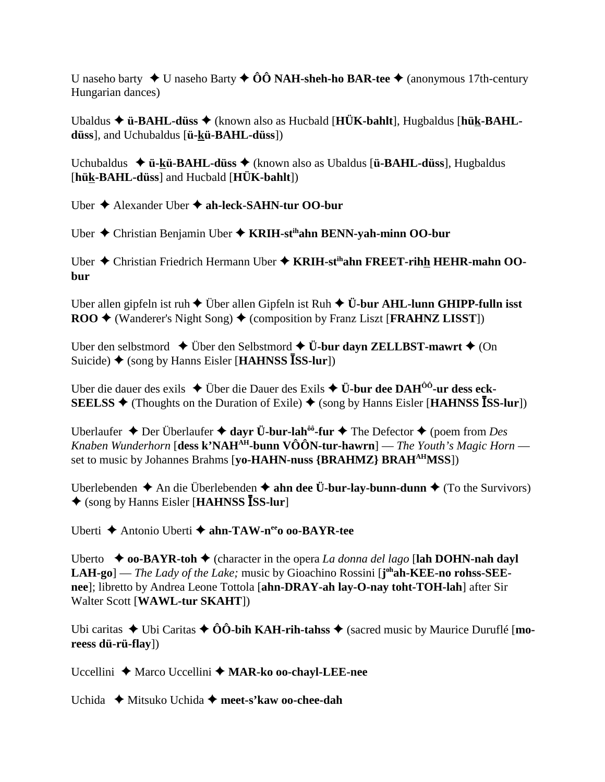U naseho barty  $\blacklozenge$  U naseho Barty  $\blacklozenge$  00 NAH-sheh-ho BAR-tee  $\blacklozenge$  (anonymous 17th-century Hungarian dances)

Ubaldus  $\triangle$  ü-BAHL-düss  $\triangle$  (known also as Hucbald [HÜK-bahlt], Hugbaldus [hük-BAHLdüss], and Uchubaldus [ü-kü-BAHL-düss])

Uchubaldus  $\triangleq$  **ü-kü-BAHL-düss**  $\triangleq$  (known also as Ubaldus [**ü-BAHL-düss**], Hugbaldus [hük-BAHL-düss] and Hucbald [HÜK-bahlt])

Uber  $\triangle$  Alexander Uber  $\triangle$  ah-leck-SAHN-tur OO-bur

Uber  $\triangle$  Christian Benjamin Uber  $\triangle$  KRIH-st<sup>ih</sup>ahn BENN-yah-minn OO-bur

Uber  $\triangle$  Christian Friedrich Hermann Uber  $\triangle$  KRIH-st<sup>ih</sup>ahn FREET-rihh HEHR-mahn OObur

Uber allen gipfeln ist ruh  $\triangle$  Über allen Gipfeln ist Ruh  $\triangle$  Ü-bur AHL-lunn GHIPP-fulln isst  $\text{ROO}$   $\blacklozenge$  (Wanderer's Night Song)  $\blacklozenge$  (composition by Franz Liszt [FRAHNZ LISST])

Uber den selbstmord  $\blacklozenge$  Über den Selbstmord  $\blacklozenge$  Ü-bur davn ZELLBST-mawrt  $\blacklozenge$  (On Suicide)  $\triangleq$  (song by Hanns Eisler [HAHNSS ISS-lur])

Uber die dauer des exils  $\triangle$  Über die Dauer des Exils  $\triangle$  Ü-bur dee DAH<sup> $00$ </sup>-ur dess eck-**SEELSS**  $\blacklozenge$  (Thoughts on the Duration of Exile)  $\blacklozenge$  (song by Hanns Eisler [**HAHNSS** ISS-lur])

Uberlaufer  $\triangle$  Der Überlaufer  $\triangle$  dayr Ü-bur-lah<sup>ôô</sup>-fur  $\triangle$  The Defector  $\triangle$  (poem from Des Knaben Wunderhorn [dess k'NAH<sup>AH</sup>-bunn VÔÔN-tur-hawrn] — The Youth's Magic Horn set to music by Johannes Brahms [yo-HAHN-nuss {BRAHMZ} BRAH<sup>AH</sup>MSS])

Uberlebenden  $\triangle$  An die Überlebenden  $\triangle$  ahn dee Ü-bur-lay-bunn-dunn  $\triangle$  (To the Survivors)  $\triangle$  (song by Hanns Eisler [HAHNSS ISS-lur]

Uberti ◆ Antonio Uberti ◆ ahn-TAW-n<sup>ee</sup>o oo-BAYR-tee

Uberto  $\bullet$  **oo-BAYR-toh**  $\bullet$  (character in the opera *La donna del lago* [lah DOHN-nah dayl] **LAH-go**] — *The Lady of the Lake*; music by Gioachino Rossini  $\mathbf{I}^{\text{oh}}$ **ah-KEE-no rohss-SEE**nee]; libretto by Andrea Leone Tottola [ahn-DRAY-ah lay-O-nay toht-TOH-lah] after Sir Walter Scott [WAWL-tur SKAHT])

Ubi caritas  $\triangle$  Ubi Caritas  $\triangle$  ÔÔ-bih KAH-rih-tahss  $\triangle$  (sacred music by Maurice Duruflé [moreess dü-rü-flay])

Uccellini ◆ Marco Uccellini ◆ MAR-ko oo-chayl-LEE-nee

Uchida  $\blacklozenge$  Mitsuko Uchida  $\blacklozenge$  meet-s'kaw oo-chee-dah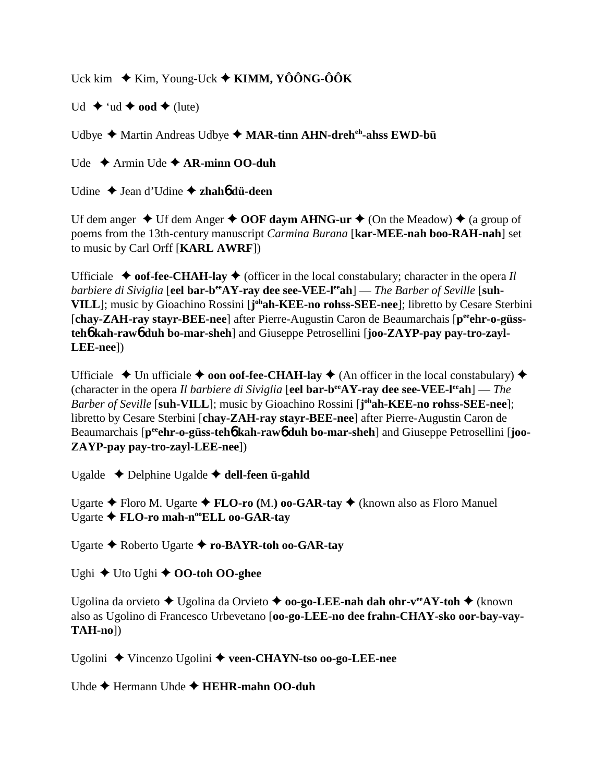Uck kim  $\div$  Kim, Young-Uck  $\div$  **KIMM, YÔÔNG-ÔÔK** 

 $Ud \leftrightarrow 'ud \leftrightarrow ood \leftrightarrow (lute)$ 

Udbye Martin Andreas Udbye **MAR-tinn AHN-dreheh-ahss EWD-bü**

Ude Armin Ude **AR-minn OO-duh**

Udine Jean d'Udine **zhah**6 **dü-deen**

Uf dem anger  $\triangle$  Uf dem Anger  $\triangle$  **OOF daym AHNG-ur**  $\triangle$  (On the Meadow)  $\triangle$  (a group of poems from the 13th-century manuscript *Carmina Burana* [**kar-MEE-nah boo-RAH-nah**] set to music by Carl Orff [**KARL AWRF**])

Ufficiale  $\triangle$  **oof-fee-CHAH-lay**  $\triangle$  (officer in the local constabulary; character in the opera *Il barbiere di Siviglia* [eel bar-b<sup>ee</sup>AY-ray dee see-VEE-l<sup>ee</sup>ah] — *The Barber of Seville* [suh-**VILL**]; music by Gioachino Rossini [**j ohah-KEE-no rohss-SEE-nee**]; libretto by Cesare Sterbini [chay-ZAH-ray stayr-BEE-nee] after Pierre-Augustin Caron de Beaumarchais [p<sup>ee</sup>ehr-o-güss**teh**6 **kah-raw**6 **duh bo-mar-sheh**] and Giuseppe Petrosellini [**joo-ZAYP-pay pay-tro-zayl-LEE-nee**])

Ufficiale  $\triangle$  Un ufficiale  $\triangle$  **oon oof-fee-CHAH-lay**  $\triangle$  (An officer in the local constabulary)  $\triangle$ (character in the opera *Il barbiere di Siviglia* [**eel bar-beeAY-ray dee see-VEE-leeah**] — *The Barber of Seville* [**suh-VILL**]; music by Gioachino Rossini [**j ohah-KEE-no rohss-SEE-nee**]; libretto by Cesare Sterbini [**chay-ZAH-ray stayr-BEE-nee**] after Pierre-Augustin Caron de Beaumarchais [p<sup>ee</sup>ehr-o-güss-teh**6** kah-raw6 duh bo-mar-sheh] and Giuseppe Petrosellini [joo-**ZAYP-pay pay-tro-zayl-LEE-nee**])

Ugalde Delphine Ugalde **dell-feen ü-gahld**

Ugarte Floro M. Ugarte **FLO-ro (**M.**) oo-GAR-tay** (known also as Floro Manuel Ugarte **← FLO-ro mah-n<sup>oo</sup>ELL oo-GAR-tay** 

Ugarte Roberto Ugarte **ro-BAYR-toh oo-GAR-tay**

Ughi ◆ Uto Ughi ◆ **OO-toh OO-ghee** 

Ugolina da orvieto ◆ Ugolina da Orvieto ◆ **oo-go-LEE-nah dah ohr-v<sup>ee</sup>AY-toh ◆** (known also as Ugolino di Francesco Urbevetano [**oo-go-LEE-no dee frahn-CHAY-sko oor-bay-vay-TAH-no**])

Ugolini Vincenzo Ugolini **veen-CHAYN-tso oo-go-LEE-nee**

Uhde Hermann Uhde **HEHR-mahn OO-duh**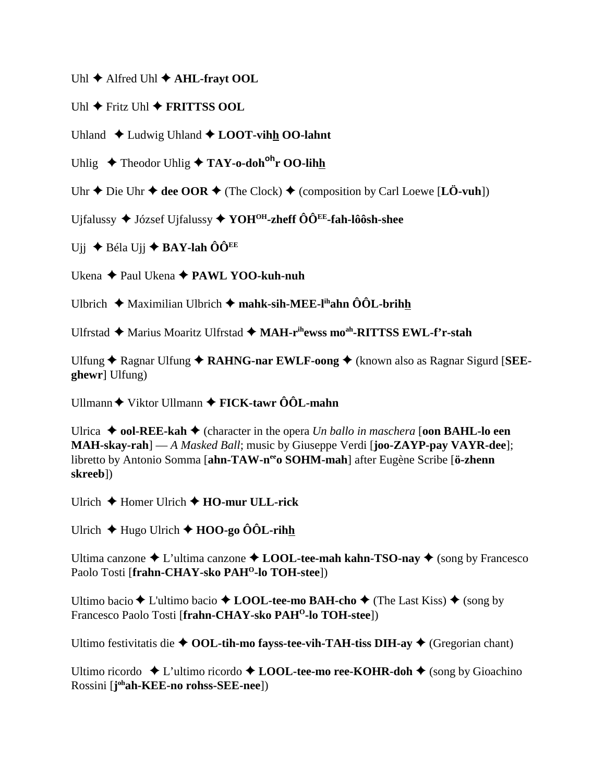Uhl  $\blacklozenge$  Alfred Uhl  $\blacklozenge$  AHL-fravt OOL

Uhl  $\triangle$  Fritz Uhl  $\triangle$  FRITTSS OOL

Uhland  $\triangle$  Ludwig Uhland  $\triangle$  LOOT-vihh OO-lahnt

Uhlig  $\triangle$  Theodor Uhlig  $\triangle$  TAY-o-doh<sup>oh</sup>r OO-lihh

Uhr  $\triangle$  Die Uhr  $\triangle$  dee OOR  $\triangle$  (The Clock)  $\triangle$  (composition by Carl Loewe [LÖ-vuh])

Ujfalussy  $\blacklozenge$  József Ujfalussy  $\blacklozenge$  YOH<sup>OH</sup>-zheff  $\hat{O} \hat{O}^{EE}$ -fah-lôôsh-shee

Uji  $\triangle$  Béla Uji  $\triangle$  BAY-lah ÔÔ<sup>EE</sup>

Ukena  $\triangle$  Paul Ukena  $\triangle$  PAWL YOO-kuh-nuh

Ulbrich  $\triangleq$  Maximilian Ulbrich  $\triangleq$  mahk-sih-MEE-l<sup>ih</sup>ahn  $\hat{O} \hat{O} L$ -brihh

Ulfrstad ◆ Marius Moaritz Ulfrstad ◆ MAH-rihewss mo<sup>ah</sup>-RITTSS EWL-f'r-stah

Ulfung  $\triangle$  Ragnar Ulfung  $\triangle$  RAHNG-nar EWLF-oong  $\triangle$  (known also as Ragnar Sigurd [SEEghewr] Ulfung)

Ullmann  $\blacklozenge$  Viktor Ullmann  $\blacklozenge$  FICK-tawr  $\hat{O} \hat{O} L$ -mahn

Ulrica  $\blacklozenge$  **ool-REE-kah**  $\blacklozenge$  (character in the opera *Un ballo in maschera* [**oon BAHL-lo een MAH-skay-rah**] — A Masked Ball; music by Giuseppe Verdi [joo-ZAYP-pay VAYR-dee]; libretto by Antonio Somma [ahn-TAW-n<sup>ee</sup>o SOHM-mah] after Eugène Scribe [ö-zhenn skreeb1)

Ulrich  $\blacklozenge$  Homer Ulrich  $\blacklozenge$  HO-mur ULL-rick

Ulrich  $\triangleq$  Hugo Ulrich  $\triangleq$  HOO-go  $\hat{O}$ OL-rihh

Ultima canzone  $\triangle$  L'ultima canzone  $\triangle$  LOOL-tee-mah kahn-TSO-nay  $\triangle$  (song by Francesco Paolo Tosti [frahn-CHAY-sko PAH<sup>O</sup>-lo TOH-stee])

Ultimo bacio ◆ L'ultimo bacio ◆ LOOL-tee-mo BAH-cho ◆ (The Last Kiss) ◆ (song by Francesco Paolo Tosti [frahn-CHAY-sko PAH<sup>O</sup>-lo TOH-stee])

Ultimo festivitatis die  $\triangle$  OOL-tih-mo fayss-tee-vih-TAH-tiss DIH-ay  $\triangle$  (Gregorian chant)

Ultimo ricordo  $\triangle$  L'ultimo ricordo  $\triangle$  LOOL-tee-mo ree-KOHR-doh  $\triangle$  (song by Gioachino Rossini [j<sup>oh</sup>ah-KEE-no rohss-SEE-nee])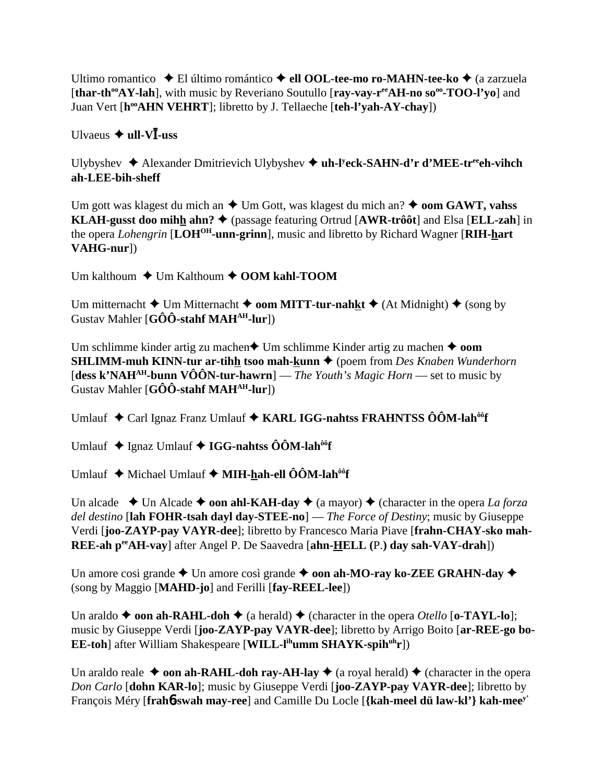Ultimo romantico El último romántico **ell OOL-tee-mo ro-MAHN-tee-ko** (a zarzuela [thar-th<sup>oo</sup>AY-lah], with music by Reveriano Soutullo [ray-vay-r<sup>ee</sup>AH-no so<sup>oo</sup>-TOO-l'yo] and Juan Vert [**hooAHN VEHRT**]; libretto by J. Tellaeche [**teh-l'yah-AY-chay**])

Ulvaeus  $\triangleq$  **ull-V***l*-uss

Ulybyshev Alexander Dmitrievich Ulybyshev **uh-ly eck-SAHN-d'r d'MEE-treeeh-vihch ah-LEE-bih-sheff**

Um gott was klagest du mich an  $\triangle$  Um Gott, was klagest du mich an?  $\triangle$  **oom GAWT, vahss KLAH-gusst doo mihh ahn?** (passage featuring Ortrud [**AWR-trôôt**] and Elsa [**ELL-zah**] in the opera *Lohengrin* [**LOHOH-unn-grinn**], music and libretto by Richard Wagner [**RIH-hart VAHG-nur**])

Um kalthoum **↓** Um Kalthoum **↓ OOM kahl-TOOM** 

Um mitternacht  $\triangle$  Um Mitternacht  $\triangle$  **oom MITT-tur-nahkt**  $\triangle$  (At Midnight)  $\triangle$  (song by Gustav Mahler [**GÔÔ-stahf MAHAH-lur**])

Um schlimme kinder artig zu machen  $\triangle$  Um schlimme Kinder artig zu machen  $\triangle$  oom **SHLIMM-muh KINN-tur ar-tihh tsoo mah-kunn ♦** (poem from *Des Knaben Wunderhorn* [**dess k'NAHAH-bunn VÔÔN-tur-hawrn**] — *The Youth's Magic Horn* — set to music by Gustav Mahler [**GÔÔ-stahf MAHAH-lur**])

Umlauf ◆ Carl Ignaz Franz Umlauf ◆ KARL IGG-nahtss FRAHNTSS ÔÔM-lah<sup>ôô</sup>f

Umlauf ◆ Ignaz Umlauf ◆ IGG-nahtss ÔÔM-lah<sup>ôô</sup>f

Umlauf ◆ Michael Umlauf ◆ **MIH-hah-ell ÔÔM-lah<sup>ôô</sup>f** 

Un alcade  $\rightarrow$  Un Alcade  $\rightarrow$  **oon ahl-KAH-day**  $\rightarrow$  (a mayor)  $\rightarrow$  (character in the opera *La forza del destino* [**lah FOHR-tsah dayl day-STEE-no**] — *The Force of Destiny*; music by Giuseppe Verdi [**joo-ZAYP-pay VAYR-dee**]; libretto by Francesco Maria Piave [**frahn-CHAY-sko mah-REE-ah peeAH-vay**] after Angel P. De Saavedra [**ahn-HELL (**P.**) day sah-VAY-drah**])

Un amore cosi grande  $\blacklozenge$  Un amore così grande  $\blacklozenge$  **oon ah-MO-ray ko-ZEE GRAHN-day**  $\blacklozenge$ (song by Maggio [**MAHD-jo**] and Ferilli [**fay-REEL-lee**])

Un araldo  $\triangle$  **oon ah-RAHL-doh**  $\triangle$  (a herald)  $\triangle$  (character in the opera *Otello* [**o-TAYL-lo**]; music by Giuseppe Verdi [**joo-ZAYP-pay VAYR-dee**]; libretto by Arrigo Boito [**ar-REE-go bo-EE-toh**] after William Shakespeare [WILL-l<sup>ih</sup>umm SHAYK-spih<sup>uh</sup>r])

Un araldo reale  $\triangle$  **oon ah-RAHL-doh ray-AH-lay**  $\triangle$  (a royal herald)  $\triangle$  (character in the opera *Don Carlo* [**dohn KAR-lo**]; music by Giuseppe Verdi [**joo-ZAYP-pay VAYR-dee**]; libretto by François Méry [**frah**6**-swah may-ree**] and Camille Du Locle [**{kah-meel dü law-kl'} kah-meey'**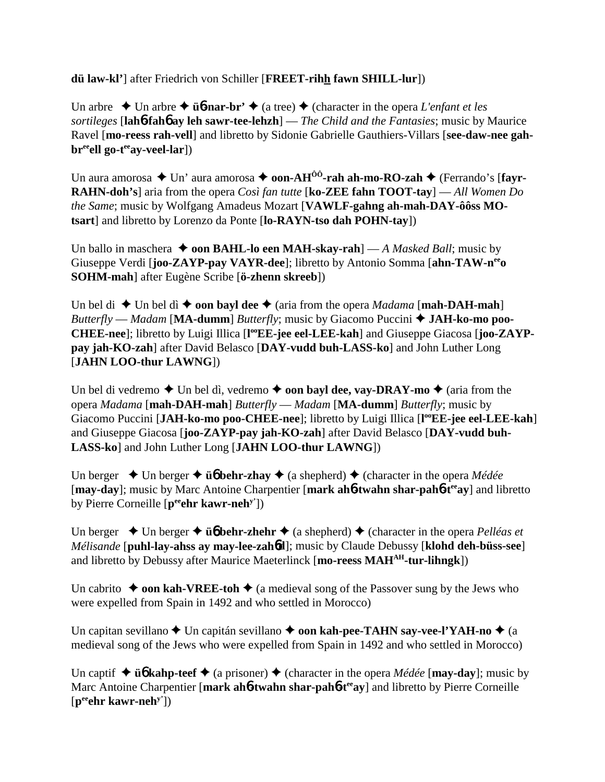**dü law-kl'**] after Friedrich von Schiller [**FREET-rihh fawn SHILL-lur**])

Un arbre  $\triangle$  Un arbre  $\triangle$  **ü<sub>0</sub>**-nar-br'  $\triangle$  (a tree)  $\triangle$  (character in the opera *L'enfant et les sortileges* [**lah**6**-fah**6 **ay leh sawr-tee-lehzh**] — *The Child and the Fantasies*; music by Maurice Ravel [**mo-reess rah-vell**] and libretto by Sidonie Gabrielle Gauthiers-Villars [**see-daw-nee gah**br<sup>ee</sup>ell go-t<sup>ee</sup>ay-veel-lar])

Un aura amorosa ◆ Un' aura amorosa ◆ **oon-AH<sup>ÔÔ</sup>-rah ah-mo-RO-zah ◆** (Ferrando's [**fayr-RAHN-doh's**] aria from the opera *Così fan tutte* [**ko-ZEE fahn TOOT-tay**] — *All Women Do the Same*; music by Wolfgang Amadeus Mozart [**VAWLF-gahng ah-mah-DAY-ôôss MOtsart**] and libretto by Lorenzo da Ponte [**lo-RAYN-tso dah POHN-tay**])

Un ballo in maschera  $\triangleq$  **oon BAHL-lo een MAH-skay-rah**] — *A Masked Ball*; music by Giuseppe Verdi [**joo-ZAYP-pay VAYR-dee**]; libretto by Antonio Somma [**ahn-TAW-neeo SOHM-mah**] after Eugène Scribe [**ö-zhenn skreeb**])

Un bel di  $\blacklozenge$  Un bel dì  $\blacklozenge$  **oon bayl dee**  $\blacklozenge$  (aria from the opera *Madama* [**mah-DAH-mah**] *Butterfly* — *Madam* [MA-dumm] *Butterfly*; music by Giacomo Puccini  $\triangle$  JAH-ko-mo poo-CHEE-nee]; libretto by Luigi Illica [l<sup>oo</sup>EE-jee eel-LEE-kah] and Giuseppe Giacosa [joo-ZAYP**pay jah-KO-zah**] after David Belasco [**DAY-vudd buh-LASS-ko**] and John Luther Long [**JAHN LOO-thur LAWNG**])

Un bel di vedremo  $\blacklozenge$  Un bel dì, vedremo  $\blacklozenge$  **oon bayl dee, vay-DRAY-mo**  $\blacklozenge$  (aria from the opera *Madama* [**mah-DAH-mah**] *Butterfly* — *Madam* [**MA-dumm**] *Butterfly*; music by Giacomo Puccini [JAH-ko-mo poo-CHEE-nee]; libretto by Luigi Illica [l<sup>oo</sup>EE-jee eel-LEE-kah] and Giuseppe Giacosa [**joo-ZAYP-pay jah-KO-zah**] after David Belasco [**DAY-vudd buh-LASS-ko**] and John Luther Long [**JAHN LOO-thur LAWNG**])

Un berger  $\triangle$  Un berger  $\triangle$  **ü** $\phi$  **behr-zhay**  $\triangle$  (a shepherd)  $\triangle$  (character in the opera *Médée* [**may-day**]; music by Marc Antoine Charpentier [**mark ah**6**-twahn shar-pah**6**-teeay**] and libretto by Pierre Corneille [**peeehr kawr-nehy'**])

Un berger  $\triangle$  Un berger  $\triangle$  **ü** $\phi$  **behr-zhehr**  $\triangle$  (a shepherd)  $\triangle$  (character in the opera *Pelléas et Mélisande* [**puhl-lay-ahss ay may-lee-zah**6**d**]; music by Claude Debussy [**klohd deh-büss-see**] and libretto by Debussy after Maurice Maeterlinck [**mo-reess MAHAH-tur-lihngk**])

Un cabrito  $\rightarrow$  **oon kah-VREE-toh**  $\rightarrow$  (a medieval song of the Passover sung by the Jews who were expelled from Spain in 1492 and who settled in Morocco)

Un capitan sevillano **→** Un capitán sevillano → **oon kah-pee-TAHN say-vee-l'YAH-no** → (a medieval song of the Jews who were expelled from Spain in 1492 and who settled in Morocco)

Un captif  $\triangle$  **üb** kahp-teef  $\triangle$  (a prisoner)  $\triangle$  (character in the opera *Médée* [**may-day**]; music by Marc Antoine Charpentier [mark ah**6**-twahn shar-pah**6**-t<sup>ee</sup>ay] and libretto by Pierre Corneille [**peeehr kawr-nehy'**])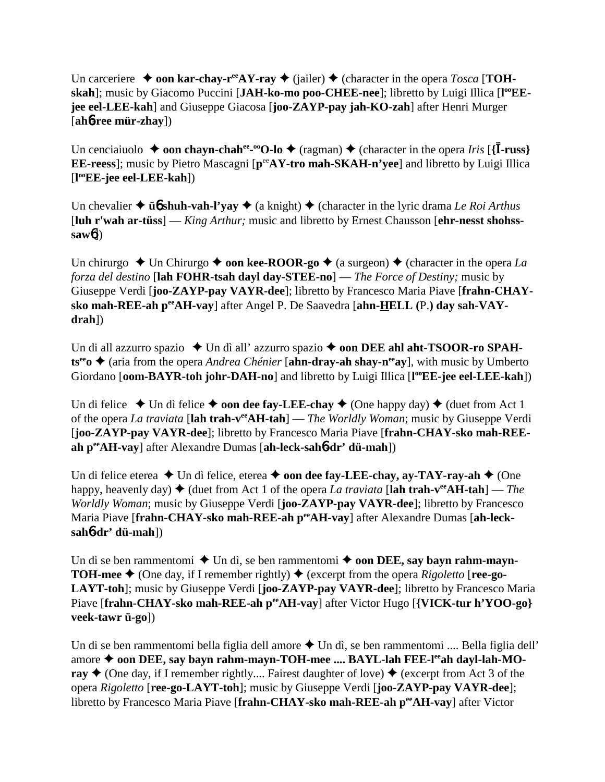Un carceriere  $\rightarrow$  **oon kar-chay-r<sup>ee</sup>AY-ray**  $\rightarrow$  (jailer)  $\rightarrow$  (character in the opera *Tosca* [**TOH**skah]; music by Giacomo Puccini [JAH-ko-mo poo-CHEE-nee]; libretto by Luigi Illica [l<sup>oo</sup>EE**jee eel-LEE-kah**] and Giuseppe Giacosa [**joo-ZAYP-pay jah-KO-zah**] after Henri Murger [**ah**6**-ree mür-zhay**])

Un cenciaiuolo  $\rightarrow$  **oon chayn-chah<sup>ee</sup>-<sup>∞</sup>O-lo**  $\rightarrow$  (ragman)  $\rightarrow$  (character in the opera *Iris* [{**I-russ**} **EE-reess**]; music by Pietro Mascagni [ $p^{ee}AY$ -tro mah-SKAH-n'vee] and libretto by Luigi Illica [**l ooEE-jee eel-LEE-kah**])

Un chevalier  $\triangle$  **üb** shuh-vah-l'yay  $\triangle$  (a knight)  $\triangle$  (character in the lyric drama *Le Roi Arthus* [**luh r'wah ar-tüss**] — *King Arthur;* music and libretto by Ernest Chausson [**ehr-nesst shohsssaw**6])

Un chirurgo  $\triangle$  Un Chirurgo  $\triangle$  **oon kee-ROOR-go**  $\triangle$  (a surgeon)  $\triangle$  (character in the opera *La forza del destino* [**lah FOHR-tsah dayl day-STEE-no**] — *The Force of Destiny;* music by Giuseppe Verdi [**joo-ZAYP-pay VAYR-dee**]; libretto by Francesco Maria Piave [**frahn-CHAYsko mah-REE-ah peeAH-vay**] after Angel P. De Saavedra [**ahn-HELL (**P.**) day sah-VAYdrah**])

Un di all azzurro spazio ◆ Un dì all' azzurro spazio ◆ **oon DEE ahl aht-TSOOR-ro SPAHts<sup>ee</sup>o ♦ (aria from the opera** *Andrea Chénier* **[ahn-dray-ah shay-n<sup>ee</sup>ay], with music by Umberto** Giordano [oom-BAYR-toh johr-DAH-no] and libretto by Luigi Illica [l<sup>oo</sup>EE-jee eel-LEE-kah])

Un di felice  $\triangle$  Un dì felice  $\triangle$  **oon dee fay-LEE-chay**  $\triangle$  (One happy day)  $\triangle$  (duet from Act 1) of the opera *La traviata* [**lah trah-veeAH-tah**] — *The Worldly Woman*; music by Giuseppe Verdi [**joo-ZAYP-pay VAYR-dee**]; libretto by Francesco Maria Piave [**frahn-CHAY-sko mah-REEah peeAH-vay**] after Alexandre Dumas [**ah-leck-sah**6**-dr' dü-mah**])

Un di felice eterea  $\triangle$  Un dì felice, eterea  $\triangle$  **oon dee fay-LEE-chay, ay-TAY-ray-ah**  $\triangle$  (One happy, heavenly day)  $\blacklozenge$  (duet from Act 1 of the opera *La traviata* [**lah trah-v<sup>ee</sup>AH-tah**] — *The Worldly Woman*; music by Giuseppe Verdi [**joo-ZAYP-pay VAYR-dee**]; libretto by Francesco Maria Piave [frahn-CHAY-sko mah-REE-ah perAH-vay] after Alexandre Dumas [ah-leck**sah**6**-dr' dü-mah**])

Un di se ben rammentomi  $\blacklozenge$  Un dì, se ben rammentomi  $\blacklozenge$  **oon DEE, say bayn rahm-mayn-TOH-mee**  $\blacklozenge$  (One day, if I remember rightly)  $\blacklozenge$  (excerpt from the opera *Rigoletto* [**ree-go-LAYT-toh**]; music by Giuseppe Verdi [**joo-ZAYP-pay VAYR-dee**]; libretto by Francesco Maria Piave [frahn-CHAY-sko mah-REE-ah p<sup>ee</sup>AH-vay] after Victor Hugo [**{VICK-tur h'YOO-go**} **veek-tawr ü-go**])

Un di se ben rammentomi bella figlia dell amore  $\triangle$  Un dì, se ben rammentomi .... Bella figlia dell' amore ◆ oon DEE, say bayn rahm-mayn-TOH-mee .... BAYL-lah FEE-l<sup>ee</sup>ah dayl-lah-MO**ray**  $\blacklozenge$  (One day, if I remember rightly.... Fairest daughter of love)  $\blacklozenge$  (excerpt from Act 3 of the opera *Rigoletto* [**ree-go-LAYT-toh**]; music by Giuseppe Verdi [**joo-ZAYP-pay VAYR-dee**]; libretto by Francesco Maria Piave [**frahn-CHAY-sko mah-REE-ah peeAH-vay**] after Victor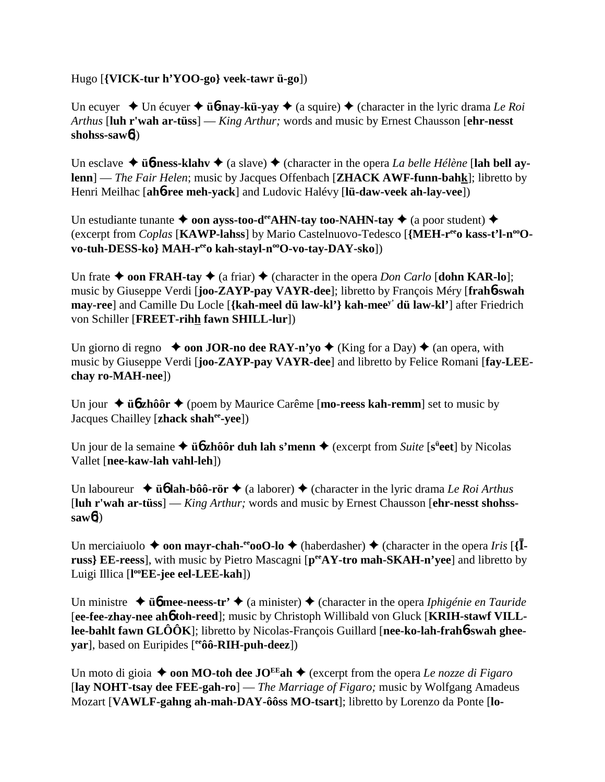Hugo [**{VICK-tur h'YOO-go} veek-tawr ü-go**])

Un ecuyer  $\triangle$  Un écuyer  $\triangle$  **ü<sub>0</sub>**-nay-kü-yay  $\triangle$  (a squire)  $\triangle$  (character in the lyric drama *Le Roi Arthus* [**luh r'wah ar-tüss**] — *King Arthur;* words and music by Ernest Chausson [**ehr-nesst shohss-saw**6])

Un esclave  $\triangle$  **üb-ness-klahv**  $\triangle$  (a slave)  $\triangle$  (character in the opera *La belle Hélène* [lah bell ay**lenn**] — *The Fair Helen*; music by Jacques Offenbach [**ZHACK AWF-funn-bahk**]; libretto by Henri Meilhac [**ah**6**-ree meh-yack**] and Ludovic Halévy [**lü-daw-veek ah-lay-vee**])

Un estudiante tunante  $\triangle$  **oon ayss-too-d<sup>ee</sup>AHN-tay too-NAHN-tay**  $\triangle$  (a poor student)  $\triangle$ (excerpt from *Coplas* [KAWP-lahss] by Mario Castelnuovo-Tedesco [{MEH-r<sup>ee</sup>o kass-t'l-n<sup>oo</sup>O $vo-tuh-DESS-ko\} MAH-r^{ee}o kah-stayl-n^{oo}O-vo-tay-DAY-sko])$ 

Un frate  $\triangle$  **oon FRAH-tay**  $\triangle$  (a friar)  $\triangle$  (character in the opera *Don Carlo* [**dohn KAR-lo**]; music by Giuseppe Verdi [**joo-ZAYP-pay VAYR-dee**]; libretto by François Méry [**frah**6**-swah may-ree**] and Camille Du Locle [**{kah-meel dü law-kl'} kah-meey' dü law-kl'**] after Friedrich von Schiller [**FREET-rihh fawn SHILL-lur**])

Un giorno di regno  $\rightarrow$  **oon JOR-no dee RAY-n'yo**  $\rightarrow$  (King for a Day)  $\rightarrow$  (an opera, with music by Giuseppe Verdi [**joo-ZAYP-pay VAYR-dee**] and libretto by Felice Romani [**fay-LEEchay ro-MAH-nee**])

Un jour **→ ü<sub>0</sub><sup>zhôôr</sup>** → (poem by Maurice Carême [**mo-reess kah-remm**] set to music by Jacques Chailley [**zhack shahee-yee**])

Un jour de la semaine  $\triangleq$  **üb zhôôr duh lah s'menn**  $\triangleq$  (excerpt from *Suite* [s<sup>ü</sup>eet] by Nicolas Vallet [**nee-kaw-lah vahl-leh**])

Un laboureur **→ ü<sub>0</sub> lah-bôô-rör** → (a laborer) → (character in the lyric drama *Le Roi Arthus* [**luh r'wah ar-tüss**] — *King Arthur;* words and music by Ernest Chausson [**ehr-nesst shohsssaw**6])

Un merciaiuolo  $\triangle$  **oon mayr-chah-<sup>ee</sup>ooO-lo**  $\triangle$  (haberdasher)  $\triangle$  (character in the opera *Iris* [{**Iruss} EE-reess**], with music by Pietro Mascagni [**peeAY-tro mah-SKAH-n'yee**] and libretto by Luigi Illica [**l ooEE-jee eel-LEE-kah**])

Un ministre  $\rightarrow$  *u***<sub>6</sub>** mee-neess-tr'  $\rightarrow$  (a minister)  $\rightarrow$  (character in the opera *Iphigénie en Tauride* [**ee-fee-zhay-nee ah**6 **toh-reed**]; music by Christoph Willibald von Gluck [**KRIH-stawf VILLlee-bahlt fawn GLÔÔK**]; libretto by Nicolas-François Guillard [**nee-ko-lah-frah**6**-swah gheeyar**], based on Euripides [**eeôô-RIH-puh-deez**])

Un moto di gioia  $\triangle$  **oon MO-toh dee JO<sup>EE</sup>ah**  $\triangle$  (excerpt from the opera *Le nozze di Figaro* [**lay NOHT-tsay dee FEE-gah-ro**] — *The Marriage of Figaro;* music by Wolfgang Amadeus Mozart [**VAWLF-gahng ah-mah-DAY-ôôss MO-tsart**]; libretto by Lorenzo da Ponte [**lo-**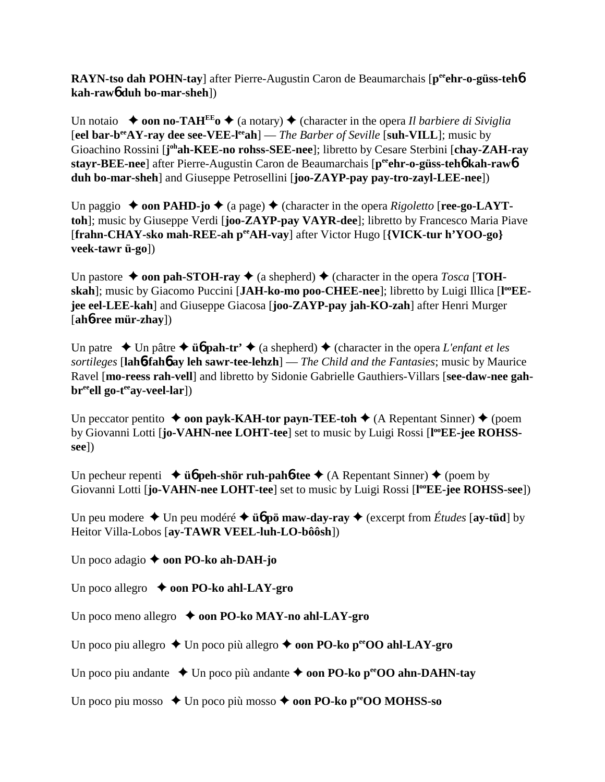**RAYN-tso dah POHN-tay**] after Pierre-Augustin Caron de Beaumarchais [p<sup>ee</sup>ehr-o-güss-teh**6**] **kah-raw**6 **duh bo-mar-sheh**])

Un notaio  $\rightarrow$  **oon no-TAH<sup>EE</sup><sub>0</sub>**  $\rightarrow$  (a notary)  $\rightarrow$  (character in the opera *Il barbiere di Siviglia* [**eel bar-beeAY-ray dee see-VEE-leeah**] — *The Barber of Seville* [**suh-VILL**]; music by Gioachino Rossini [j<sup>oh</sup>ah-KEE-no rohss-SEE-nee]; libretto by Cesare Sterbini [chay-ZAH-ray **stayr-BEE-nee**] after Pierre-Augustin Caron de Beaumarchais [**peeehr-o-güss-teh**6 **kah-raw**6 **duh bo-mar-sheh**] and Giuseppe Petrosellini [**joo-ZAYP-pay pay-tro-zayl-LEE-nee**])

Un paggio  $\triangle$  **oon PAHD-jo**  $\triangle$  (a page)  $\triangle$  (character in the opera *Rigoletto* [**ree-go-LAYTtoh**]; music by Giuseppe Verdi [**joo-ZAYP-pay VAYR-dee**]; libretto by Francesco Maria Piave [**frahn-CHAY-sko mah-REE-ah peeAH-vay**] after Victor Hugo [**{VICK-tur h'YOO-go} veek-tawr ü-go**])

Un pastore  $\triangle$  **oon pah-STOH-ray**  $\triangle$  (a shepherd)  $\triangle$  (character in the opera *Tosca* [**TOH**skah]; music by Giacomo Puccini [JAH-ko-mo poo-CHEE-nee]; libretto by Luigi Illica [l<sup>oo</sup>EE**jee eel-LEE-kah**] and Giuseppe Giacosa [**joo-ZAYP-pay jah-KO-zah**] after Henri Murger [**ah**6**-ree mür-zhay**])

Un patre  $\rightarrow$  Un pâtre  $\rightarrow$  **üb pah-tr'**  $\rightarrow$  (a shepherd)  $\rightarrow$  (character in the opera *L'enfant et les sortileges* [**lah**6**-fah**6 **ay leh sawr-tee-lehzh**] — *The Child and the Fantasies*; music by Maurice Ravel [**mo-reess rah-vell**] and libretto by Sidonie Gabrielle Gauthiers-Villars [**see-daw-nee gah**br<sup>ee</sup>ell go-t<sup>ee</sup>ay-veel-lar])

Un peccator pentito  $\triangle$  **oon payk-KAH-tor payn-TEE-toh**  $\triangle$  (A Repentant Sinner)  $\triangle$  (poem by Giovanni Lotti [jo-VAHN-nee LOHT-tee] set to music by Luigi Rossi [l<sup>oo</sup>EE-jee ROHSS**see**])

Un pecheur repenti  $\rightarrow$  **ü<sub>6</sub>** peh-shör ruh-pah**6**-tee  $\rightarrow$  (A Repentant Sinner)  $\rightarrow$  (poem by Giovanni Lotti [jo-VAHN-nee LOHT-tee] set to music by Luigi Rossi [l<sup>oo</sup>EE-jee ROHSS-see])

Un peu modere  $\triangle$  Un peu modéré  $\triangle$  **ü<sub>6</sub>** pö maw-day-ray  $\triangle$  (excerpt from *Études* [ay-tüd] by Heitor Villa-Lobos [**ay-TAWR VEEL-luh-LO-bôôsh**])

Un poco adagio **→ oon PO-ko ah-DAH-jo** 

Un poco allegro  $\rightarrow$  **oon PO-ko ahl-LAY-gro** 

Un poco meno allegro  $\rightarrow$  **oon PO-ko MAY-no ahl-LAY-gro** 

Un poco piu allegro **→** Un poco più allegro **→ oon PO-ko p<sup>ee</sup>OO ahl-LAY-gro** 

Un poco piu andante  $\triangle$  Un poco più andante  $\triangle$  **oon PO-ko p<sup>ee</sup>OO ahn-DAHN-tay** 

Un poco piu mosso  $\triangle$  Un poco più mosso  $\triangle$  **oon PO-ko p<sup>ee</sup>OO MOHSS-so**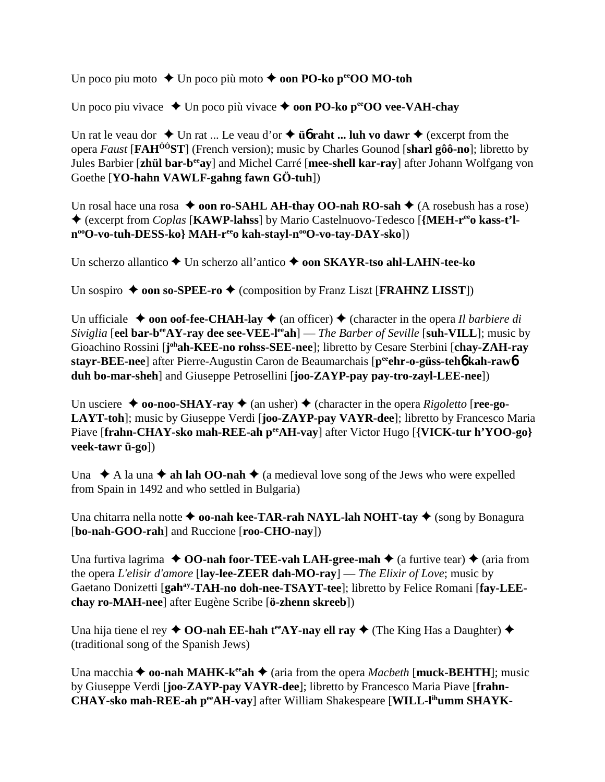Un poco piu moto  $\blacklozenge$  Un poco più moto  $\blacklozenge$  **oon PO-ko p<sup>ee</sup>OO MO-toh** 

Un poco piu vivace  $\triangle$  Un poco più vivace  $\triangle$  **oon PO-ko p<sup>ee</sup>OO vee-VAH-chay** 

Un rat le veau dor  $\triangle$  Un rat ... Le veau d'or  $\triangle$  **ü<sub>6</sub>** raht ... luh vo dawr  $\triangle$  (excerpt from the opera *Faust* [**FAHÔÔST**] (French version); music by Charles Gounod [**sharl gôô-no**]; libretto by Jules Barbier [**zhül bar-beeay**] and Michel Carré [**mee-shell kar-ray**] after Johann Wolfgang von Goethe [**YO-hahn VAWLF-gahng fawn GÖ-tuh**])

Un rosal hace una rosa  $\triangle$  **oon ro-SAHL AH-thay OO-nah RO-sah**  $\triangle$  (A rosebush has a rose) ◆ (excerpt from *Coplas* [KAWP-lahss] by Mario Castelnuovo-Tedesco [{MEH-r<sup>ee</sup>o kass-t'ln<sup>oo</sup>O-vo-tuh-DESS-ko} MAH-r<sup>ee</sup>o kah-stayl-n<sup>oo</sup>O-vo-tay-DAY-sko])

Un scherzo allantico **→** Un scherzo all'antico ◆ **oon SKAYR-tso ahl-LAHN-tee-ko** 

Un sospiro  $\triangle$  **oon so-SPEE-ro**  $\triangle$  (composition by Franz Liszt [**FRAHNZ LISST**])

Un ufficiale  $\triangle$  **oon oof-fee-CHAH-lay**  $\triangle$  (an officer)  $\triangle$  (character in the opera *Il barbiere di Siviglia* [**eel bar-b<sup>ee</sup>AY-ray dee see-VEE-l<sup>ee</sup>ah**] — *The Barber of Seville* [**suh-VILL**]; music by Gioachino Rossini [j<sup>oh</sup>ah-KEE-no rohss-SEE-nee]; libretto by Cesare Sterbini [chay-ZAH-ray **stayr-BEE-nee**] after Pierre-Augustin Caron de Beaumarchais [**peeehr-o-güss-teh**6 **kah-raw**6 **duh bo-mar-sheh**] and Giuseppe Petrosellini [**joo-ZAYP-pay pay-tro-zayl-LEE-nee**])

Un usciere  $\triangle$  **oo-noo-SHAY-ray**  $\triangle$  (an usher)  $\triangle$  (character in the opera *Rigoletto* [**ree-go-LAYT-toh**]; music by Giuseppe Verdi [**joo-ZAYP-pay VAYR-dee**]; libretto by Francesco Maria Piave [frahn-CHAY-sko mah-REE-ah p<sup>ee</sup>AH-vay] after Victor Hugo [{VICK-tur h'YOO-go} **veek-tawr ü-go**])

Una  $\triangle A$  la una  $\triangle A$  **ah lah OO-nah**  $\triangle A$  (a medieval love song of the Jews who were expelled from Spain in 1492 and who settled in Bulgaria)

Una chitarra nella notte **↑ oo-nah kee-TAR-rah NAYL-lah NOHT-tay ◆** (song by Bonagura [**bo-nah-GOO-rah**] and Ruccione [**roo-CHO-nay**])

Una furtiva lagrima  $\triangle$  **OO-nah foor-TEE-vah LAH-gree-mah**  $\triangle$  (a furtive tear)  $\triangle$  (aria from the opera *L'elisir d'amore* [**lay-lee-ZEER dah-MO-ray**] — *The Elixir of Love*; music by Gaetano Donizetti [gah<sup>ay</sup>-TAH-no doh-nee-TSAYT-tee]; libretto by Felice Romani [fay-LEE**chay ro-MAH-nee**] after Eugène Scribe [**ö-zhenn skreeb**])

Una hija tiene el rey  $\triangle$  **OO-nah EE-hah t<sup>ee</sup>AY-nay ell ray**  $\triangle$  (The King Has a Daughter)  $\triangle$ (traditional song of the Spanish Jews)

Una macchia  $\triangle$  **oo-nah MAHK-k<sup>ee</sup>ah**  $\triangle$  (aria from the opera *Macbeth* [**muck-BEHTH**]; music by Giuseppe Verdi [**joo-ZAYP-pay VAYR-dee**]; libretto by Francesco Maria Piave [**frahn-CHAY-sko mah-REE-ah peeAH-vay**] after William Shakespeare [**WILL-lihumm SHAYK-**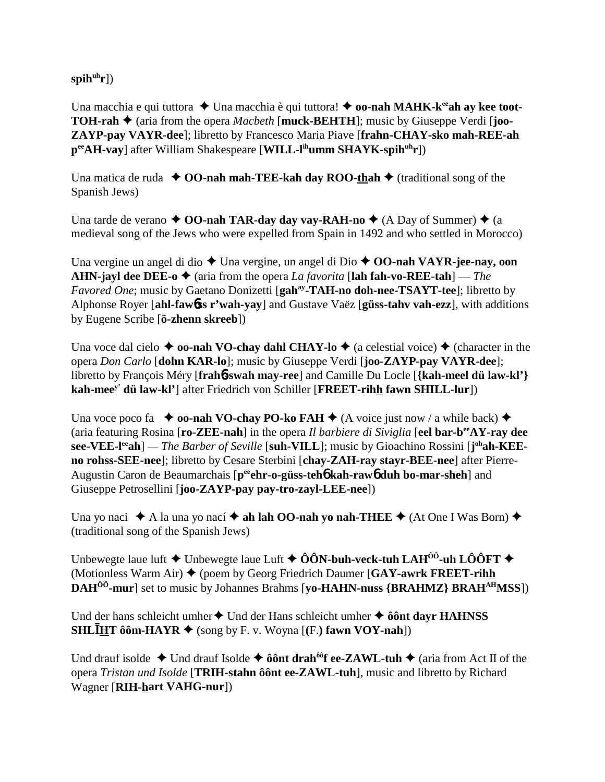spih<sup>uh</sup>r])

Una macchia e qui tuttora **→** Una macchia è qui tuttora! ◆ **oo-nah MAHK-k<sup>ee</sup>ah ay kee toot-TOH-rah ♦** (aria from the opera *Macbeth* [**muck-BEHTH**]; music by Giuseppe Verdi [**joo-ZAYP-pay VAYR-dee**]; libretto by Francesco Maria Piave [**frahn-CHAY-sko mah-REE-ah peeAH-vay**] after William Shakespeare [**WILL-lihumm SHAYK-spihuhr**])

Una matica de ruda  $\triangle$  **OO-nah mah-TEE-kah day ROO-thah**  $\triangle$  (traditional song of the Spanish Jews)

Una tarde de verano  $\triangle$  **OO-nah TAR-day day vay-RAH-no**  $\triangle$  (A Day of Summer)  $\triangle$  (a medieval song of the Jews who were expelled from Spain in 1492 and who settled in Morocco)

Una vergine un angel di dio ◆ Una vergine, un angel di Dio ◆ **OO-nah VAYR-jee-nay, oon AHN-jayl dee DEE-o**  $\blacklozenge$  (aria from the opera *La favorita* [**lah fah-vo-REE-tah**] — *The Favored One*; music by Gaetano Donizetti [gah<sup>ay</sup>-TAH-no doh-nee-TSAYT-tee]; libretto by Alphonse Royer [**ahl-faw**6**ss r'wah-yay**] and Gustave Vaëz [**güss-tahv vah-ezz**], with additions by Eugene Scribe [**ö-zhenn skreeb**])

Una voce dal cielo  $\triangle$  **oo-nah VO-chay dahl CHAY-lo**  $\triangle$  (a celestial voice)  $\triangle$  (character in the opera *Don Carlo* [**dohn KAR-lo**]; music by Giuseppe Verdi [**joo-ZAYP-pay VAYR-dee**]; libretto by François Méry [**frah**6**-swah may-ree**] and Camille Du Locle [**{kah-meel dü law-kl'} kah-meey' dü law-kl'**] after Friedrich von Schiller [**FREET-rihh fawn SHILL-lur**])

Una voce poco fa  $\bullet$  **oo-nah VO-chay PO-ko FAH**  $\bullet$  (A voice just now / a while back)  $\bullet$ (aria featuring Rosina [**ro-ZEE-nah**] in the opera *Il barbiere di Siviglia* [**eel bar-beeAY-ray dee see-VEE-leeah**] *— The Barber of Seville* [**suh-VILL**]; music by Gioachino Rossini [**j ohah-KEEno rohss-SEE-nee**]; libretto by Cesare Sterbini [**chay-ZAH-ray stayr-BEE-nee**] after Pierre-Augustin Caron de Beaumarchais [p<sup>ee</sup>ehr-o-güss-teh**6** kah-raw**6** duh bo-mar-sheh] and Giuseppe Petrosellini [**joo-ZAYP-pay pay-tro-zayl-LEE-nee**])

Una yo naci  $\triangle A$  la una yo nací  $\triangle A$  **ah lah OO-nah yo nah-THEE**  $\triangle A$  (At One I Was Born)  $\triangle A$ (traditional song of the Spanish Jews)

Unbewegte laue luft  $\blacklozenge$  Unbewegte laue Luft  $\blacklozenge$   $\hat{O}$ **ON-buh-veck-tuh LAH<sup>** $\hat{O}$ **<sup>0</sup>-uh L** $\hat{O}$ **OFT** $\blacklozenge$ </sup> (Motionless Warm Air) (poem by Georg Friedrich Daumer [**GAY-awrk FREET-rihh DAH<sup>ÔÔ</sup>-mur**] set to music by Johannes Brahms [**yo-HAHN-nuss {BRAHMZ} BRAH**<sup>AH</sup>MSS])

Und der hans schleicht umher **↓** Und der Hans schleicht umher **↓ ôônt dayr HAHNSS SHLHT** ôôm-HAYR  $\blacklozenge$  (song by F. v. Woyna [(F.) fawn VOY-nah])

Und drauf isolde  $\triangle$  Und drauf Isolde  $\triangle$  **ôônt drah<sup>ôô</sup>f ee-ZAWL-tuh**  $\triangle$  (aria from Act II of the opera *Tristan und Isolde* [**TRIH-stahn ôônt ee-ZAWL-tuh**], music and libretto by Richard Wagner [**RIH-hart VAHG-nur**])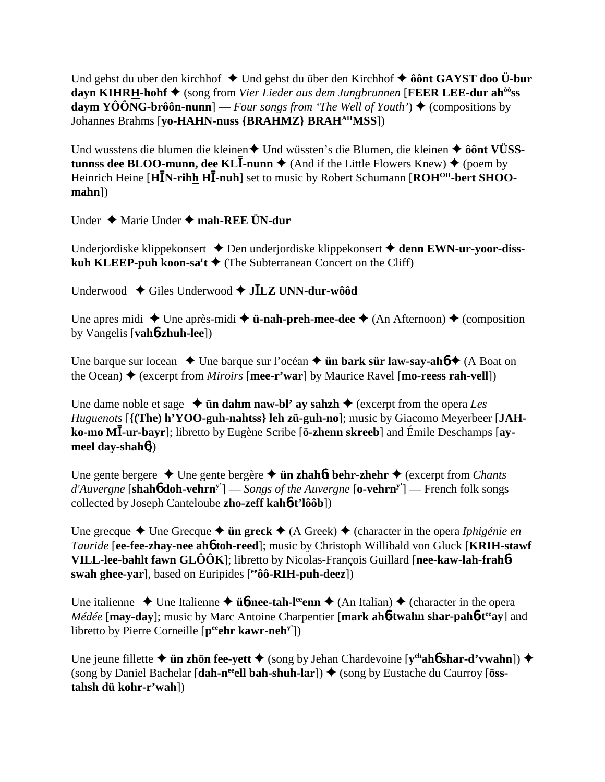Und gehst du uber den kirchhof ◆ Und gehst du über den Kirchhof ◆ ôônt GAYST doo Ü-bur **dayn KIHRH-hohf** (song from *Vier Lieder aus dem Jungbrunnen* [**FEER LEE-dur ahôôss daym YÔÔNG-brôôn-nunn**] — *Four songs from 'The Well of Youth'*)  $\blacklozenge$  (compositions by Johannes Brahms [**yo-HAHN-nuss {BRAHMZ} BRAHAHMSS**])

Und wusstens die blumen die kleinen◆ Und wüssten's die Blumen, die kleinen ◆ ôônt VÜSS**tunnss dee BLOO-munn, dee KL<b>I**-nunn  $\triangle$  (And if the Little Flowers Knew)  $\triangle$  (poem by Heinrich Heine [H**IN-rihh HI-nuh**] set to music by Robert Schumann [ROH<sup>OH</sup>-bert SHOO**mahn**])

Under Marie Under **mah-REE ÜN-dur**

Underjordiske klippekonsert **→** Den underjordiske klippekonsert **→ denn EWN-ur-yoor-disskuh KLEEP-puh koon-sa<sup>r</sup>t**  $\bigstar$  (The Subterranean Concert on the Cliff)

Underwood Giles Underwood **JLZ UNN-dur-wôôd**

Une apres midi  $\triangle$  Une après-midi  $\triangle$  **ü-nah-preh-mee-dee**  $\triangle$  (An Afternoon)  $\triangle$  (composition by Vangelis [**vah**6**-zhuh-lee**])

Une barque sur locean  $\triangle$  Une barque sur l'océan  $\triangle$  **ün bark sür law-say-ahó**  $\triangle$  (A Boat on the Ocean)  $\triangle$  (excerpt from *Miroirs* [**mee-r'war**] by Maurice Ravel [**mo-reess rah-vell**])

Une dame noble et sage  $\triangleleft$  **ün dahm naw-bl' ay sahzh**  $\triangleleft$  (excerpt from the opera *Les Huguenots* [**{(The) h'YOO-guh-nahtss} leh zü-guh-no**]; music by Giacomo Meyerbeer [**JAHko-mo M-ur-bayr**]; libretto by Eugène Scribe [**ö-zhenn skreeb**] and Émile Deschamps [**aymeel day-shah**6])

Une gente bergere  $\triangle$  Une gente bergère  $\triangle$  **ün zhahót behr-zhehr**  $\triangle$  (excerpt from *Chants d'Auvergne* [**shah**6 **doh-vehrny'**] — *Songs of the Auvergne* [**o-vehrny'**] — French folk songs collected by Joseph Canteloube **zho-zeff kah**6**-t'lôôb**])

Une grecque  $\triangle$  Une Grecque  $\triangle$  **ün greck**  $\triangle$  (A Greek)  $\triangle$  (character in the opera *Iphigénie en Tauride* [**ee-fee-zhay-nee ah**6 **toh-reed**]; music by Christoph Willibald von Gluck [**KRIH-stawf VILL-lee-bahlt fawn GLÔÔK**]; libretto by Nicolas-François Guillard [**nee-kaw-lah-frah**6 **swah ghee-yar**], based on Euripides [**eeôô-RIH-puh-deez**])

Une italienne  $\triangle$  Une Italienne  $\triangle$  **üb-nee-tah-l<sup>ee</sup>enn**  $\triangle$  (An Italian)  $\triangle$  (character in the opera *Médée* [**may-day**]; music by Marc Antoine Charpentier [**mark ah6-twahn shar-pah6-t<sup>ee</sup>ay**] and libretto by Pierre Corneille [pee**hr kawr-neh**<sup>y'</sup>])

Une jeune fillette **→ ün zhön fee-yett** ◆ (song by Jehan Chardevoine [**v**<sup>ch</sup>**ah6** shar-d'vwahn]) ◆ (song by Daniel Bachelar [dah-n<sup>ee</sup>ell bah-shuh-lar]) ♦ (song by Eustache du Caurroy [öss**tahsh dü kohr-r'wah**])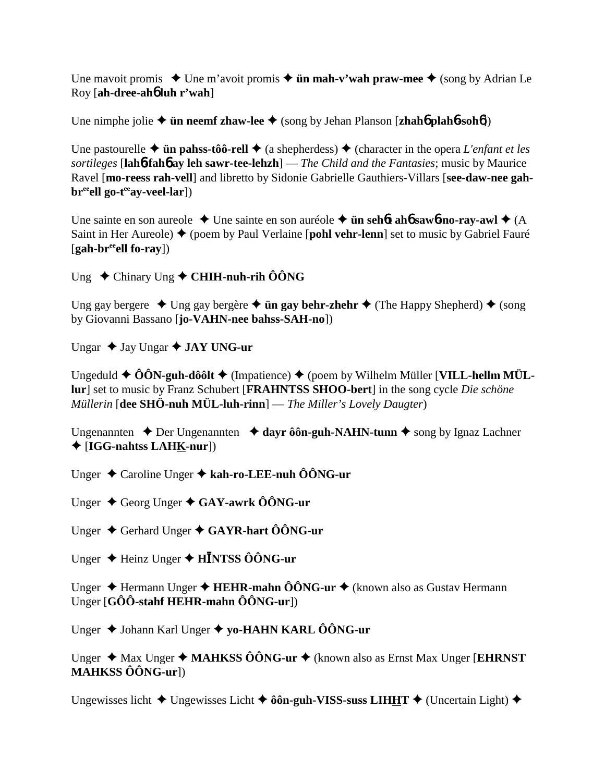Une mavoit promis  $\triangle$  Une m'avoit promis  $\triangle$  **ün mah-v'wah praw-mee**  $\triangle$  (song by Adrian Le Roy [**ah-dree-ah**6 **luh r'wah**]

Une nimphe jolie  $\triangleq$  **ün neemf zhaw-lee**  $\triangleq$  (song by Jehan Planson [**zhah6** plah**6**-soh**6**])

Une pastourelle  $\triangle$  **ün pahss-tôô-rell**  $\triangle$  (a shepherdess)  $\triangle$  (character in the opera *L'enfant et les sortileges* [**lah**6**-fah**6 **ay leh sawr-tee-lehzh**] — *The Child and the Fantasies*; music by Maurice Ravel [**mo-reess rah-vell**] and libretto by Sidonie Gabrielle Gauthiers-Villars [**see-daw-nee gahbr**<sup>ee</sup>ell go-t<sup>ee</sup>ay-veel-lar])

Une sainte en son aureole  $\triangle$  Une sainte en son auréole  $\triangle$  **ün sehôt ahô saw6-no-ray-awl**  $\triangle$  (A Saint in Her Aureole) ♦ (poem by Paul Verlaine [**pohl vehr-lenn**] set to music by Gabriel Fauré [**gah-breeell fo-ray**])

Ung Chinary Ung **CHIH-nuh-rih ÔÔNG**

Ung gay bergere  $\triangleleft$  Ung gay bergère  $\triangleleft$  **ün gay behr-zhehr**  $\triangleleft$  (The Happy Shepherd)  $\triangleq$  (song by Giovanni Bassano [**jo-VAHN-nee bahss-SAH-no**])

Ungar **↓ Jay Ungar ◆ JAY UNG-ur** 

Ungeduld ◆ ÔÔN-guh-dôôlt ◆ (Impatience) ◆ (poem by Wilhelm Müller [VILL-hellm MÜL**lur**] set to music by Franz Schubert [**FRAHNTSS SHOO-bert**] in the song cycle *Die schöne Müllerin* [**dee SHÖ-nuh MÜL-luh-rinn**] — *The Miller's Lovely Daugter*)

Ungenannten  $\triangle$  Der Ungenannten  $\triangle$  dayr ôôn-guh-NAHN-tunn  $\triangle$  song by Ignaz Lachner [**IGG-nahtss LAHK-nur**])

Unger Caroline Unger **kah-ro-LEE-nuh ÔÔNG-ur**

Unger Georg Unger **GAY-awrk ÔÔNG-ur**

Unger Gerhard Unger **GAYR-hart ÔÔNG-ur**

Unger Heinz Unger **HNTSS ÔÔNG-ur**

Unger ◆ Hermann Unger ◆ **HEHR-mahn ÔÔNG-ur** ◆ (known also as Gustav Hermann Unger [**GÔÔ-stahf HEHR-mahn ÔÔNG-ur**])

Unger Johann Karl Unger **yo-HAHN KARL ÔÔNG-ur**

Unger ◆ Max Unger ◆ MAHKSS ÔÔNG-ur ◆ (known also as Ernst Max Unger [**EHRNST**] **MAHKSS ÔÔNG-ur**])

Ungewisses licht  $\triangle$  Ungewisses Licht  $\triangle$  ôôn-guh-VISS-suss LIHHT  $\triangle$  (Uncertain Light)  $\triangle$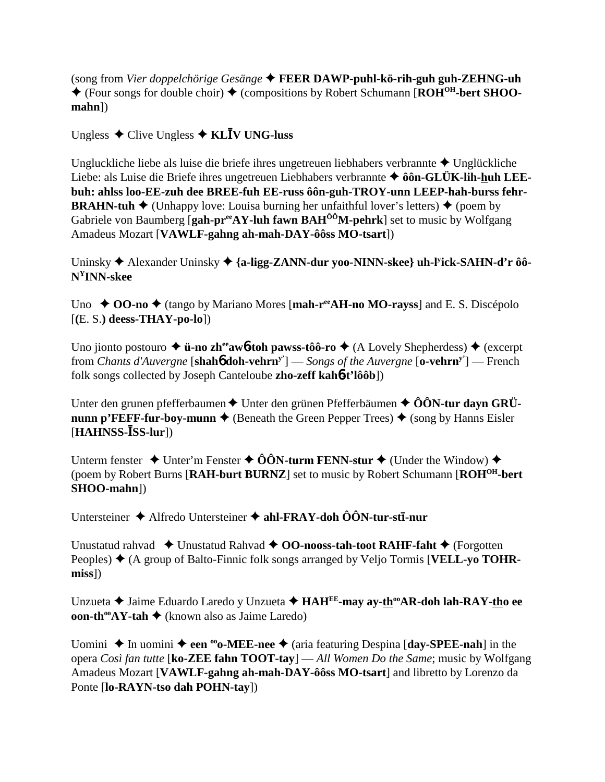(song from Vier doppelchörige Gesänge  $\triangle$  FEER DAWP-puhl-kö-rih-guh guh-ZEHNG-uh  $\blacklozenge$  (Four songs for double choir)  $\blacklozenge$  (compositions by Robert Schumann [ROH<sup>OH</sup>-bert SHOO- $$ 

Ungless  $\triangle$  Clive Ungless  $\triangle$  KLIV UNG-luss

Ungluckliche liebe als luise die briefe ihres ungetreuen liebhabers verbrannte  $\triangle$  Unglückliche Liebe: als Luise die Briefe ihres ungetreuen Liebhabers verbrannte ◆ ôôn-GLÜK-lih-huh LEEbuh: ahlss loo-EE-zuh dee BREE-fuh EE-russ ôôn-guh-TROY-unn LEEP-hah-burss fehr-**BRAHN-tuh**  $\blacklozenge$  (Unhappy love: Louisa burning her unfaithful lover's letters)  $\blacklozenge$  (poem by Gabriele von Baumberg [gah-pr<sup>ee</sup>AY-luh fawn  $BAH^{00}M$ -pehrk] set to music by Wolfgang Amadeus Mozart [VAWLF-gahng ah-mah-DAY-ôôss MO-tsart])

Uninsky  $\triangle$  Alexander Uninsky  $\triangle$  {a-ligg-ZANN-dur yoo-NINN-skee} uh-l<sup>y</sup>ick-SAHN-d'r ôô- $N<sup>Y</sup>INN-skee$ 

Uno ◆ OO-no ◆ (tango by Mariano Mores [mah-r<sup>ee</sup>AH-no MO-rayss] and E. S. Discépolo  $[(E. S.)$  deess-THAY-po-lo])

Uno jionto postouro  $\triangleq$  **ü-no zh<sup>ee</sup>aw6-toh pawss-tôô-ro**  $\triangleq$  (A Lovely Shepherdess)  $\triangleq$  (excerpt from *Chants d'Auvergne* [shah $\phi$  **doh-vehrn**<sup>y'</sup>] — *Songs of the Auvergne* [**o-vehrn**<sup>y'</sup>] — French folk songs collected by Joseph Canteloube zho-zeff kahot'lôôb])

Unter den grunen pfefferbaumen  $\triangle$  Unter den grünen Pfefferbäumen  $\triangle$  ÔÔN-tur davn GRÜ**nunn p'FEFF-fur-boy-munn**  $\blacklozenge$  (Beneath the Green Pepper Trees)  $\blacklozenge$  (song by Hanns Eisler  $[HAHNSS-**ISS-lur**])$ 

Unterm fenster  $\rightarrow$  Unter'm Fenster  $\rightarrow$  00N-turm FENN-stur  $\rightarrow$  (Under the Window)  $\rightarrow$ (poem by Robert Burns [RAH-burt BURNZ] set to music by Robert Schumann [ROH<sup>OH</sup>-bert] SHOO-mahn])

Untersteiner ◆ Alfredo Untersteiner ◆ ahl-FRAY-doh ÔÔN-tur-stī-nur

Unustatud rahvad ◆ Unustatud Rahvad ◆ 00-nooss-tah-toot RAHF-faht ◆ (Forgotten Peoples)  $\blacklozenge$  (A group of Balto-Finnic folk songs arranged by Veljo Tormis [VELL-yo TOHR $miss$ ])

Unzueta ◆ Jaime Eduardo Laredo y Unzueta ◆ HAH<sup>EE</sup>-may ay-th<sup>oo</sup>AR-doh lah-RAY-tho ee **oon-th<sup>oo</sup>AY-tah**  $\blacklozenge$  (known also as Jaime Laredo)

Uomini  $\triangle$  In uomini  $\triangle$  een <sup>oo</sup>o-MEE-nee  $\triangle$  (aria featuring Despina [day-SPEE-nah] in the opera Così fan tutte [ $ko$ - $ZEE$  fahn TOOT-tav] — All Women Do the Same; music by Wolfgang Amadeus Mozart [VAWLF-gahng ah-mah-DAY-ôôss MO-tsart] and libretto by Lorenzo da Ponte [lo-RAYN-tso dah POHN-tay])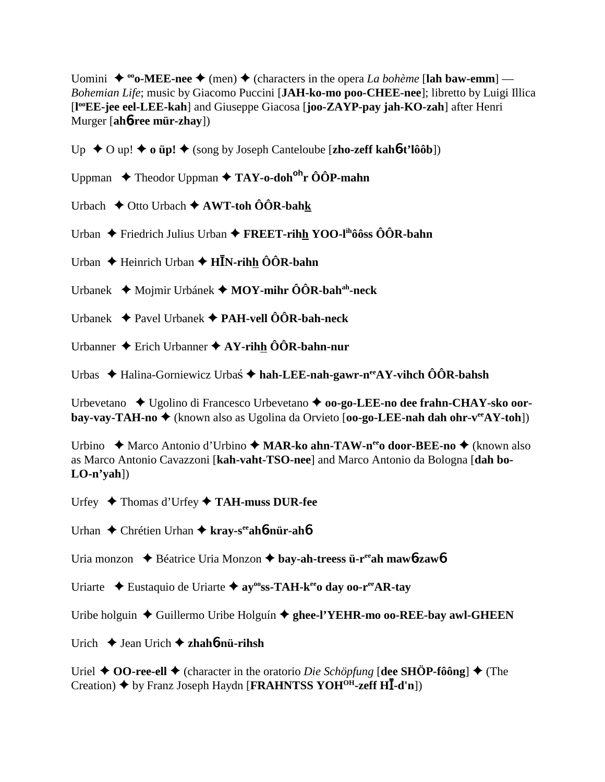Uomini  $\blacklozenge$  <sup>oo</sup>o-MEE-nee  $\blacklozenge$  (men)  $\blacklozenge$  (characters in the opera *La bohème* [lah baw-emm] — *Bohemian Life*; music by Giacomo Puccini [**JAH-ko-mo poo-CHEE-nee**]; libretto by Luigi Illica [**l ooEE-jee eel-LEE-kah**] and Giuseppe Giacosa [**joo-ZAYP-pay jah-KO-zah**] after Henri Murger [**ah**6**-ree mür-zhay**])

Up **→** O up! ◆ **o üp! ◆** (song by Joseph Canteloube [**zho-zeff kah6-t'lôôb**])

Uppman Theodor Uppman **TAY-o-dohohr ÔÔP-mahn**

Urbach Otto Urbach **AWT-toh ÔÔR-bahk**

Urban **←** Friedrich Julius Urban ← FREET-rihh YOO-l<sup>ih</sup>ôôss ÔÔR-bahn

Urban **→** Heinrich Urban → **HN**-rihh ÔÔR-bahn

Urbanek Mojmir Urbánek **MOY-mihr ÔÔR-bahah-neck**

Urbanek Pavel Urbanek **PAH-vell ÔÔR-bah-neck**

Urbanner Erich Urbanner **AY-rihh ÔÔR-bahn-nur**

Urbas ◆ Halina-Gorniewicz Urbas ◆ hah-LEE-nah-gawr-n<sup>ee</sup>AY-vihch ÔÔR-bahsh

Urbevetano ◆ Ugolino di Francesco Urbevetano ◆ **oo-go-LEE-no dee frahn-CHAY-sko oorbay-vay-TAH-no ♦** (known also as Ugolina da Orvieto [**oo-go-LEE-nah dah ohr-v<sup>ee</sup>AY-toh**])

Urbino ◆ Marco Antonio d'Urbino ◆ MAR-ko ahn-TAW-n<sup>ee</sup>o door-BEE-no ◆ (known also as Marco Antonio Cavazzoni [**kah-vaht-TSO-nee**] and Marco Antonio da Bologna [**dah bo-LO-n'yah**])

Urfey Thomas d'Urfey **TAH-muss DUR-fee**

Urhan Chrétien Urhan **kray-seeah**6**-nür-ah**6

Uria monzon Béatrice Uria Monzon **bay-ah-treess ü-reeah maw**6**-zaw**6

Uriarte **→** Eustaquio de Uriarte → ay<sup>oo</sup>ss-TAH-k<sup>ee</sup>o day oo-r<sup>ee</sup>AR-tay

Uribe holguin ◆ Guillermo Uribe Holguín ◆ ghee-l'YEHR-mo oo-REE-bay awl-GHEEN

Urich Jean Urich **zhah**6**-nü-rihsh**

Uriel  $\triangle$  **OO-ree-ell**  $\triangle$  (character in the oratorio *Die Schöpfung* [dee SHÖP-fôông]  $\triangle$  (The Creation) by Franz Joseph Haydn [**FRAHNTSS YOHOH-zeff H-d'n**])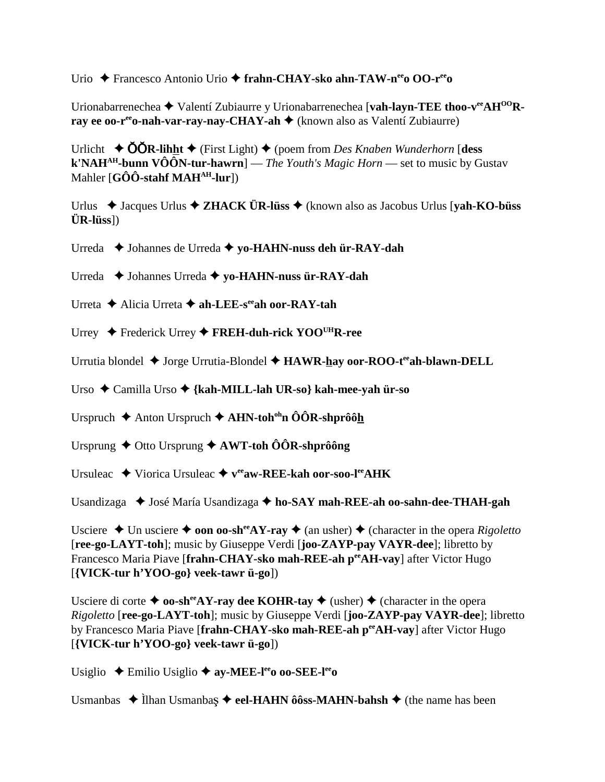Urio Francesco Antonio Urio **frahn-CHAY-sko ahn-TAW-neeo OO-reeo**

Urionabarrenechea **+** Valentí Zubiaurre y Urionabarrenechea [**vah-layn-TEE thoo-v<sup>ee</sup>AH<sup>OO</sup>Rray ee oo-r<sup>ee</sup>o-nah-var-ray-nay-CHAY-ah ♦** (known also as Valentí Zubiaurre)

Urlicht  $\triangle$  **OOR-lihht**  $\triangle$  (First Light)  $\triangle$  (poem from *Des Knaben Wunderhorn* [**dess k'NAHAH-bunn VÔÔN-tur-hawrn**] — *The Youth's Magic Horn* — set to music by Gustav Mahler [**GÔÔ-stahf MAH<sup>AH</sup>-lur**])

Urlus Jacques Urlus **ZHACK ÜR-lüss**  (known also as Jacobus Urlus [**yah-KO-büss ÜR-lüss**])

Urreda Johannes de Urreda **yo-HAHN-nuss deh ür-RAY-dah**

Urreda Johannes Urreda **yo-HAHN-nuss ür-RAY-dah**

Urreta Alicia Urreta **ah-LEE-seeah oor-RAY-tah**

Urrey Frederick Urrey **FREH-duh-rick YOOUHR-ree**

Urrutia blondel ◆ Jorge Urrutia-Blondel ◆ HAWR-hay oor-ROO-t<sup>ee</sup>ah-blawn-DELL

Urso Camilla Urso **{kah-MILL-lah UR-so} kah-mee-yah ür-so**

Urspruch Anton Urspruch **AHN-tohohn ÔÔR-shprôôh**

Ursprung ◆ Otto Ursprung **◆ AWT-toh ÔÔR-shprôông** 

Ursuleac ◆ Viorica Ursuleac ◆  $v^{ee}$ **aw-REE-kah oor-soo-l<sup>ee</sup>AHK** 

Usandizaga ◆ José María Usandizaga ◆ ho-SAY mah-REE-ah oo-sahn-dee-THAH-gah

Usciere  $\triangle$  Un usciere  $\triangle$  **oon oo-sh<sup>ee</sup>AY-ray**  $\triangle$  (an usher)  $\triangle$  (character in the opera *Rigoletto* [**ree-go-LAYT-toh**]; music by Giuseppe Verdi [**joo-ZAYP-pay VAYR-dee**]; libretto by Francesco Maria Piave [frahn-CHAY-sko mah-REE-ah perAH-vay] after Victor Hugo [**{VICK-tur h'YOO-go} veek-tawr ü-go**])

Usciere di corte  $\triangleq$  **oo-sh<sup>ee</sup>AY-ray dee KOHR-tay**  $\triangleq$  (usher)  $\triangleq$  (character in the opera *Rigoletto* [**ree-go-LAYT-toh**]; music by Giuseppe Verdi [**joo-ZAYP-pay VAYR-dee**]; libretto by Francesco Maria Piave [frahn-CHAY-sko mah-REE-ah per AH-vay] after Victor Hugo [**{VICK-tur h'YOO-go} veek-tawr ü-go**])

Usiglio Emilio Usiglio **ay-MEE-leeo oo-SEE-leeo**

Usmanbas ◆ Ilhan Usmanbaş ◆ eel-HAHN ôôss-MAHN-bahsh ◆ (the name has been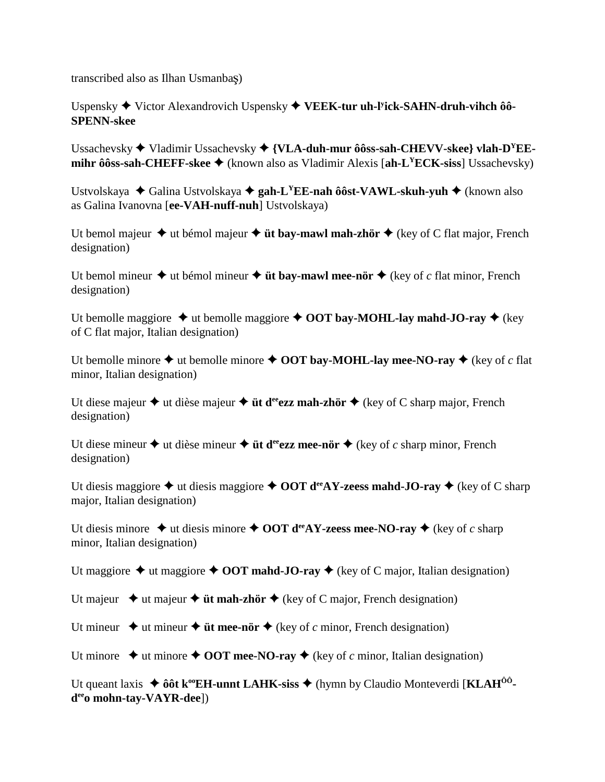transcribed also as Ilhan Usmanbaş)

Uspensky ◆ Victor Alexandrovich Uspensky ◆ VEEK-tur uh-l<sup>y</sup>ick-SAHN-druh-vihch ôô-**SPENN-skee**

Ussachevsky Vladimir Ussachevsky **{VLA-duh-mur ôôss-sah-CHEVV-skee} vlah-DYEEmihr ôôss-sah-CHEFF-skee**  $\blacklozenge$  (known also as Vladimir Alexis [ah-L<sup>Y</sup>ECK-siss] Ussachevsky)

Ustvolskaya Galina Ustvolskaya **gah-LYEE-nah ôôst-VAWL-skuh-yuh** (known also as Galina Ivanovna [**ee-VAH-nuff-nuh**] Ustvolskaya)

Ut bemol majeur  $\triangle$  ut bémol majeur  $\triangle$  **üt bay-mawl mah-zhör**  $\triangle$  (key of C flat major, French designation)

Ut bemol mineur  $\triangle$  ut bémol mineur  $\triangle$  **üt bay-mawl mee-nör**  $\triangle$  (key of *c* flat minor, French designation)

Ut bemolle maggiore  $\triangle$  ut bemolle maggiore  $\triangle$  OOT bay-MOHL-lay mahd-JO-ray  $\triangle$  (key of C flat major, Italian designation)

Ut bemolle minore  $\triangle$  ut bemolle minore  $\triangle$  OOT bay-MOHL-lay mee-NO-ray  $\triangle$  (key of *c* flat minor, Italian designation)

Ut diese majeur  $\triangle$  ut dièse majeur  $\triangle$  **üt d<sup>ee</sup>ezz mah-zhör**  $\triangle$  (key of C sharp major, French designation)

Ut diese mineur  $\triangle$  ut dièse mineur  $\triangle$  **üt d<sup>ee</sup>ezz mee-nör**  $\triangle$  (key of *c* sharp minor, French designation)

Ut diesis maggiore  $\triangle$  ut diesis maggiore  $\triangle$  OOT d<sup>ee</sup>AY-zeess mahd-JO-ray  $\triangle$  (key of C sharp major, Italian designation)

Ut diesis minore  $\triangle$  ut diesis minore  $\triangle$  OOT d<sup>ee</sup>AY-zeess mee-NO-ray  $\triangle$  (key of *c* sharp minor, Italian designation)

Ut maggiore  $\triangle$  ut maggiore  $\triangle$  OOT mahd-JO-ray  $\triangle$  (key of C major, Italian designation)

Ut majeur  $\rightarrow$  ut majeur  $\rightarrow$  **üt mah-zhör**  $\rightarrow$  (key of C major, French designation)

Ut mineur  $\triangle$  ut mineur  $\triangle$  **üt mee-nör**  $\triangle$  (key of *c* minor, French designation)

Ut minore  $\triangle$  ut minore  $\triangle$  OOT mee-NO-ray  $\triangle$  (key of *c* minor, Italian designation)

Ut queant laxis ◆ ôôt k<sup>oo</sup>EH-unnt LAHK-siss ◆ (hymn by Claudio Monteverdi [KLAH<sup>ôô</sup>**deeo mohn-tay-VAYR-dee**])